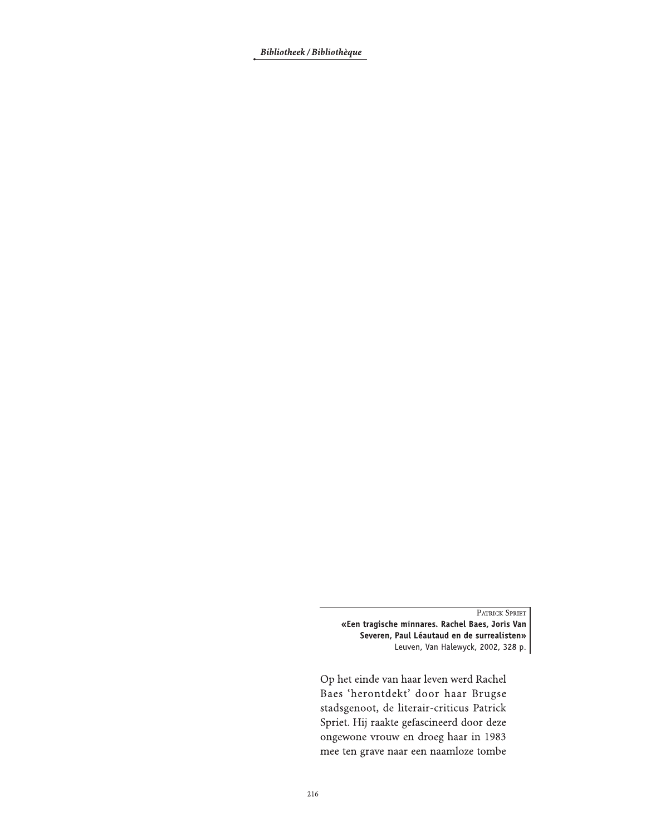Bibliotheek / Bibliothèque

PATRICK SPRIET

«Een tragische minnares. Rachel Baes, Joris Van Severen, Paul Léautaud en de surrealisten» Leuven, Van Halewyck, 2002, 328 p.

Op het einde van haar leven werd Rachel Baes 'herontdekt' door haar Brugse stadsgenoot, de literair-criticus Patrick Spriet. Hij raakte gefascineerd door deze ongewone vrouw en droeg haar in 1983 mee ten grave naar een naamloze tombe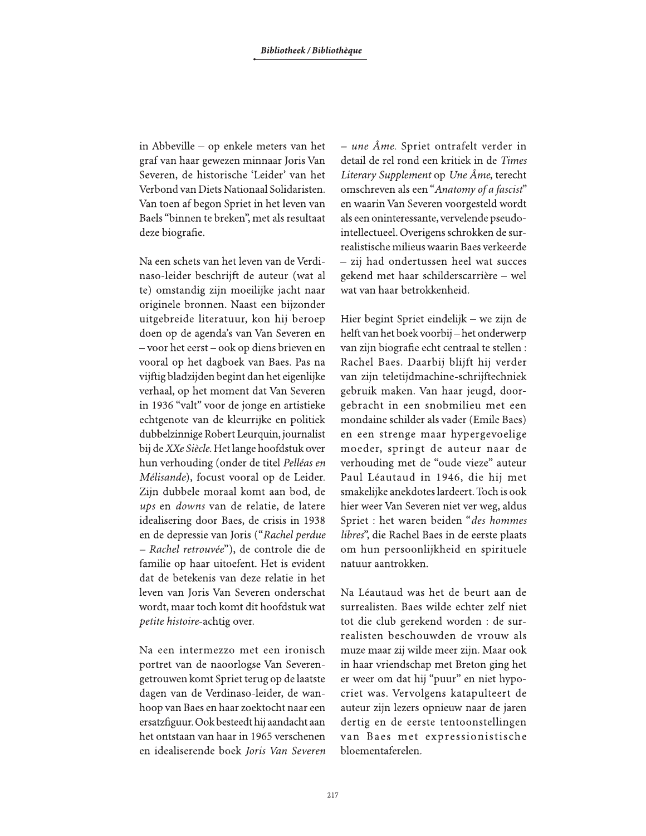in Abbeville – op enkele meters van het graf van haar gewezen minnaar Joris Van Severen, de historische 'Leider' van het Verbond van Diets Nationaal Solidaristen. Van toen af begon Spriet in het leven van Baels "binnen te breken", met als resultaat deze biografie.

Na een schets van het leven van de Verdinaso-leider beschrijft de auteur (wat al te) omstandig zijn moeilijke jacht naar originele bronnen. Naast een bijzonder uitgebreide literatuur, kon hij beroep doen op de agenda's van Van Severen en - voor het eerst - ook op diens brieven en vooral op het dagboek van Baes. Pas na vijftig bladzijden begint dan het eigenlijke verhaal, op het moment dat Van Severen in 1936 "valt" voor de jonge en artistieke echtgenote van de kleurrijke en politiek dubbelzinnige Robert Leurquin, journalist bij de XXe Siècle. Het lange hoofdstuk over hun verhouding (onder de titel Pelléas en Mélisande), focust vooral op de Leider. Zijn dubbele moraal komt aan bod, de ups en downs van de relatie, de latere idealisering door Baes, de crisis in 1938 en de depressie van Joris ("Rachel perdue - Rachel retrouvée"), de controle die de familie op haar uitoefent. Het is evident dat de betekenis van deze relatie in het leven van Joris Van Severen onderschat wordt, maar toch komt dit hoofdstuk wat petite histoire-achtig over.

Na een intermezzo met een ironisch portret van de naoorlogse Van Severengetrouwen komt Spriet terug op de laatste dagen van de Verdinaso-leider, de wanhoop van Baes en haar zoektocht naar een ersatzfiguur. Ook besteedt hij aandacht aan het ontstaan van haar in 1965 verschenen en idealiserende boek Joris Van Severen  $-$  une Âme. Spriet ontrafelt verder in detail de rel rond een kritiek in de Times Literary Supplement op Une Âme, terecht omschreven als een "Anatomy of a fascist" en waarin Van Severen voorgesteld wordt als een oninteressante, vervelende pseudointellectueel. Overigens schrokken de surrealistische milieus waarin Baes verkeerde - zij had ondertussen heel wat succes gekend met haar schilderscarrière - wel wat van haar betrokkenheid.

Hier begint Spriet eindelijk - we zijn de helft van het boek voorbij-het onderwerp van zijn biografie echt centraal te stellen : Rachel Baes. Daarbij blijft hij verder van zijn teletijdmachine-schrijftechniek gebruik maken. Van haar jeugd, doorgebracht in een snobmilieu met een mondaine schilder als vader (Emile Baes) en een strenge maar hypergevoelige moeder, springt de auteur naar de verhouding met de "oude vieze" auteur Paul Léautaud in 1946, die hij met smakelijke anekdotes lardeert. Toch is ook hier weer Van Severen niet ver weg, aldus Spriet : het waren beiden "des hommes libres", die Rachel Baes in de eerste plaats om hun persoonlijkheid en spirituele natuur aantrokken.

Na Léautaud was het de beurt aan de surrealisten. Baes wilde echter zelf niet tot die club gerekend worden : de surrealisten beschouwden de vrouw als muze maar zij wilde meer zijn. Maar ook in haar vriendschap met Breton ging het er weer om dat hij "puur" en niet hypocriet was. Vervolgens katapulteert de auteur zijn lezers opnieuw naar de jaren dertig en de eerste tentoonstellingen van Baes met expressionistische bloementaferelen.